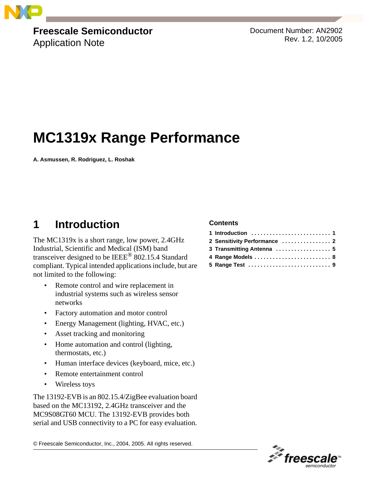

# **Freescale Semiconductor**

Application Note

Document Number: AN2902 Rev. 1.2, 10/2005

## **MC1319x Range Performance**

**A. Asmussen, R. Rodriguez, L. Roshak**

## **1 Introduction**

The MC1319x is a short range, low power, 2.4GHz Industrial, Scientific and Medical (ISM) band transceiver designed to be IEEE® 802.15.4 Standard compliant. Typical intended applications include, but are not limited to the following:

- Remote control and wire replacement in industrial systems such as wireless sensor networks
- Factory automation and motor control
- Energy Management (lighting, HVAC, etc.)
- Asset tracking and monitoring
- Home automation and control (lighting, thermostats, etc.)
- Human interface devices (keyboard, mice, etc.)
- Remote entertainment control
- Wireless toys

The 13192-EVB is an 802.15.4/ZigBee evaluation board based on the MC13192, 2.4GHz transceiver and the MC9S08GT60 MCU. The 13192-EVB provides both serial and USB connectivity to a PC for easy evaluation.

© Freescale Semiconductor, Inc., 2004, 2005. All rights reserved.

#### **Contents**

| 2 Sensitivity Performance  2 |  |
|------------------------------|--|
| 3 Transmitting Antenna  5    |  |
|                              |  |
|                              |  |

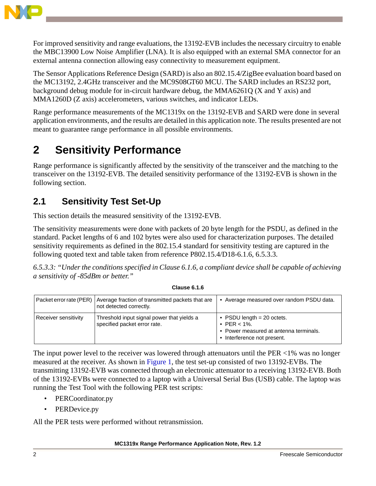

For improved sensitivity and range evaluations, the 13192-EVB includes the necessary circuitry to enable the MBC13900 Low Noise Amplifier (LNA). It is also equipped with an external SMA connector for an external antenna connection allowing easy connectivity to measurement equipment.

The Sensor Applications Reference Design (SARD) is also an 802.15.4/ZigBee evaluation board based on the MC13192, 2.4GHz transceiver and the MC9S08GT60 MCU. The SARD includes an RS232 port, background debug module for in-circuit hardware debug, the MMA6261Q (X and Y axis) and MMA1260D (Z axis) accelerometers, various switches, and indicator LEDs.

Range performance measurements of the MC1319x on the 13192-EVB and SARD were done in several application environments, and the results are detailed in this application note. The results presented are not meant to guarantee range performance in all possible environments.

## **2 Sensitivity Performance**

Range performance is significantly affected by the sensitivity of the transceiver and the matching to the transceiver on the 13192-EVB. The detailed sensitivity performance of the 13192-EVB is shown in the following section.

### **2.1 Sensitivity Test Set-Up**

This section details the measured sensitivity of the 13192-EVB.

The sensitivity measurements were done with packets of 20 byte length for the PSDU, as defined in the standard. Packet lengths of 6 and 102 bytes were also used for characterization purposes. The detailed sensitivity requirements as defined in the 802.15.4 standard for sensitivity testing are captured in the following quoted text and table taken from reference P802.15.4/D18-6.1.6, 6.5.3.3.

*6.5.3.3: "Under the conditions specified in Clause 6.1.6, a compliant device shall be capable of achieving a sensitivity of -85dBm or better."*

|                      | Packet error rate (PER) Average fraction of transmitted packets that are<br>not detected correctly. | • Average measured over random PSDU data.                                                                                |
|----------------------|-----------------------------------------------------------------------------------------------------|--------------------------------------------------------------------------------------------------------------------------|
| Receiver sensitivity | Threshold input signal power that yields a<br>specified packet error rate.                          | • PSDU length $= 20$ octets.<br>• PER $< 1\%$ .<br>• Power measured at antenna terminals.<br>• Interference not present. |

The input power level to the receiver was lowered through attenuators until the PER <1% was no longer measured at the receiver. As shown in [Figure 1](#page-2-0), the test set-up consisted of two 13192-EVBs. The transmitting 13192-EVB was connected through an electronic attenuator to a receiving 13192-EVB. Both of the 13192-EVBs were connected to a laptop with a Universal Serial Bus (USB) cable. The laptop was running the Test Tool with the following PER test scripts:

- PERCoordinator.py
- PERDevice.py

All the PER tests were performed without retransmission.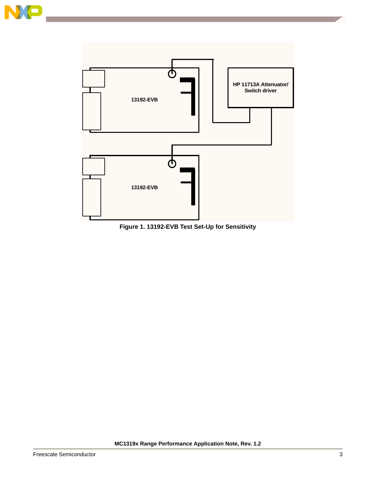



<span id="page-2-0"></span>**Figure 1. 13192-EVB Test Set-Up for Sensitivity**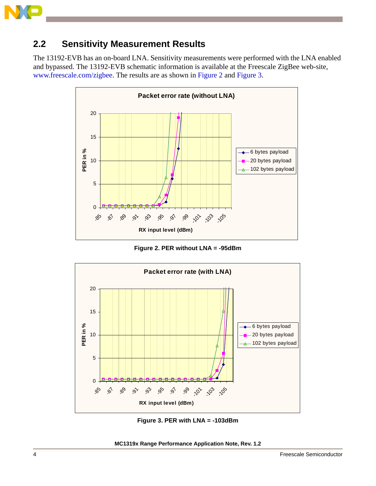

#### **2.2 Sensitivity Measurement Results**

The 13192-EVB has an on-board LNA. Sensitivity measurements were performed with the LNA enabled and bypassed. The 13192-EVB schematic information is available at the Freescale ZigBee web-site, www.freescale.com/zigbee. The results are as shown in [Figure 2](#page-3-0) and [Figure 3](#page-3-1).



**Figure 2. PER without LNA = -95dBm**

<span id="page-3-0"></span>

**Figure 3. PER with LNA = -103dBm**

<span id="page-3-1"></span>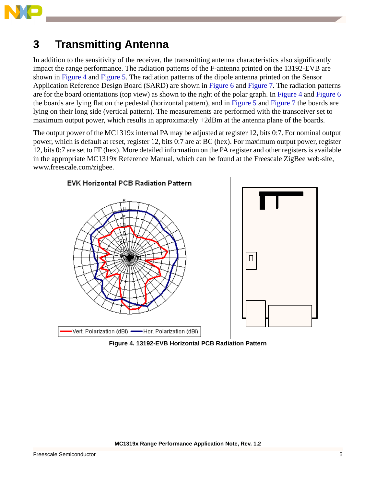

### **3 Transmitting Antenna**

In addition to the sensitivity of the receiver, the transmitting antenna characteristics also significantly impact the range performance. The radiation patterns of the F-antenna printed on the 13192-EVB are shown in [Figure 4](#page-4-0) and [Figure 5.](#page-5-0) The radiation patterns of the dipole antenna printed on the Sensor Application Reference Design Board (SARD) are shown in [Figure 6](#page-5-1) and [Figure 7](#page-6-0). The radiation patterns are for the board orientations (top view) as shown to the right of the polar graph. In [Figure 4](#page-4-0) and [Figure 6](#page-5-1) the boards are lying flat on the pedestal (horizontal pattern), and in [Figure 5](#page-5-0) and [Figure 7](#page-6-0) the boards are lying on their long side (vertical pattern). The measurements are performed with the transceiver set to maximum output power, which results in approximately +2dBm at the antenna plane of the boards.

The output power of the MC1319x internal PA may be adjusted at register 12, bits 0:7. For nominal output power, which is default at reset, register 12, bits 0:7 are at BC (hex). For maximum output power, register 12, bits 0:7 are set to FF (hex). More detailed information on the PA register and other registers is available in the appropriate MC1319x Reference Manual, which can be found at the Freescale ZigBee web-site, www.freescale.com/zigbee.



<span id="page-4-0"></span>**Figure 4. 13192-EVB Horizontal PCB Radiation Pattern**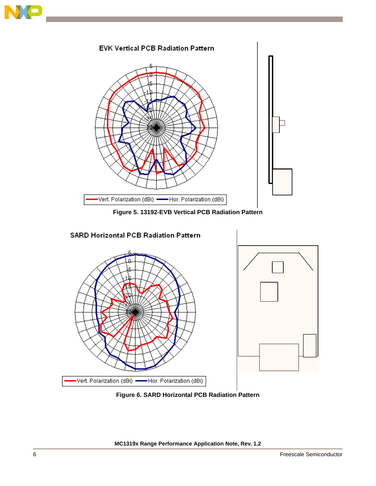



**Figure 5. 13192-EVB Vertical PCB Radiation Pattern**

<span id="page-5-0"></span>

<span id="page-5-1"></span>**Figure 6. SARD Horizontal PCB Radiation Pattern**

#### **MC1319x Range Performance Application Note, Rev. 1.2**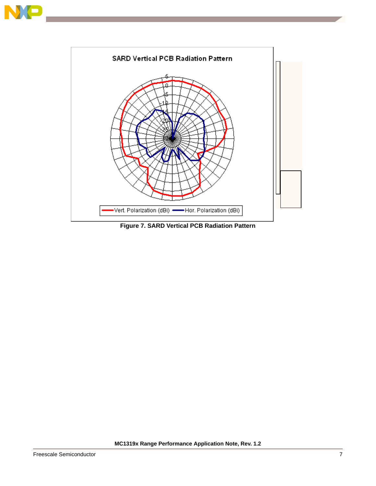



<span id="page-6-0"></span>**Figure 7. SARD Vertical PCB Radiation Pattern**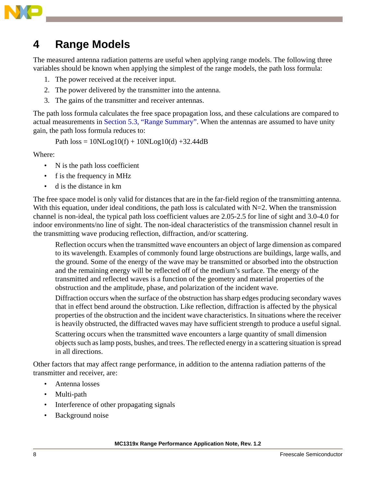

### <span id="page-7-0"></span>**4 Range Models**

The measured antenna radiation patterns are useful when applying range models. The following three variables should be known when applying the simplest of the range models, the path loss formula:

- 1. The power received at the receiver input.
- 2. The power delivered by the transmitter into the antenna.
- 3. The gains of the transmitter and receiver antennas.

The path loss formula calculates the free space propagation loss, and these calculations are compared to actual measurements in [Section 5.3, "Range Summary"](#page-11-0). When the antennas are assumed to have unity gain, the path loss formula reduces to:

Path  $loss = 10NLog10(f) + 10NLog10(d) + 32.44dB$ 

Where:

- N is the path loss coefficient
- f is the frequency in MHz
- d is the distance in km

The free space model is only valid for distances that are in the far-field region of the transmitting antenna. With this equation, under ideal conditions, the path loss is calculated with  $N=2$ . When the transmission channel is non-ideal, the typical path loss coefficient values are 2.05-2.5 for line of sight and 3.0-4.0 for indoor environments/no line of sight. The non-ideal characteristics of the transmission channel result in the transmitting wave producing reflection, diffraction, and/or scattering.

Reflection occurs when the transmitted wave encounters an object of large dimension as compared to its wavelength. Examples of commonly found large obstructions are buildings, large walls, and the ground. Some of the energy of the wave may be transmitted or absorbed into the obstruction and the remaining energy will be reflected off of the medium's surface. The energy of the transmitted and reflected waves is a function of the geometry and material properties of the obstruction and the amplitude, phase, and polarization of the incident wave.

Diffraction occurs when the surface of the obstruction has sharp edges producing secondary waves that in effect bend around the obstruction. Like reflection, diffraction is affected by the physical properties of the obstruction and the incident wave characteristics. In situations where the receiver is heavily obstructed, the diffracted waves may have sufficient strength to produce a useful signal.

Scattering occurs when the transmitted wave encounters a large quantity of small dimension objects such as lamp posts, bushes, and trees. The reflected energy in a scattering situation is spread in all directions.

Other factors that may affect range performance, in addition to the antenna radiation patterns of the transmitter and receiver, are:

- Antenna losses
- Multi-path
- Interference of other propagating signals
- Background noise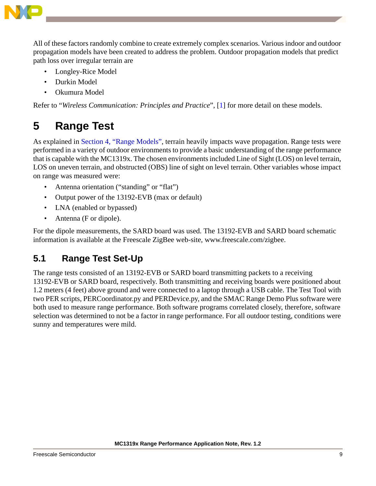

All of these factors randomly combine to create extremely complex scenarios. Various indoor and outdoor propagation models have been created to address the problem. Outdoor propagation models that predict path loss over irregular terrain are

- Longley-Rice Model
- Durkin Model
- Okumura Model

Refer to "*Wireless Communication: Principles and Practice*", [\[1](#page-12-0)] for more detail on these models.

### **5 Range Test**

As explained in [Section 4, "Range Models"](#page-7-0), terrain heavily impacts wave propagation. Range tests were performed in a variety of outdoor environments to provide a basic understanding of the range performance that is capable with the MC1319x. The chosen environments included Line of Sight (LOS) on level terrain, LOS on uneven terrain, and obstructed (OBS) line of sight on level terrain. Other variables whose impact on range was measured were:

- Antenna orientation ("standing" or "flat")
- Output power of the 13192-EVB (max or default)
- LNA (enabled or bypassed)
- Antenna (F or dipole).

For the dipole measurements, the SARD board was used. The 13192-EVB and SARD board schematic information is available at the Freescale ZigBee web-site, www.freescale.com/zigbee.

### **5.1 Range Test Set-Up**

The range tests consisted of an 13192-EVB or SARD board transmitting packets to a receiving 13192-EVB or SARD board, respectively. Both transmitting and receiving boards were positioned about 1.2 meters (4 feet) above ground and were connected to a laptop through a USB cable. The Test Tool with two PER scripts, PERCoordinator.py and PERDevice.py, and the SMAC Range Demo Plus software were both used to measure range performance. Both software programs correlated closely, therefore, software selection was determined to not be a factor in range performance. For all outdoor testing, conditions were sunny and temperatures were mild.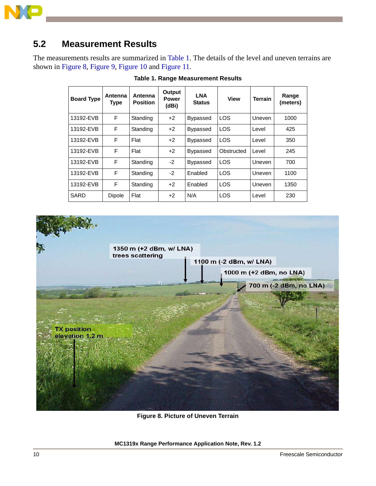

### **5.2 Measurement Results**

<span id="page-9-0"></span>The measurements results are summarized in [Table 1.](#page-9-0) The details of the level and uneven terrains are shown in [Figure 8,](#page-9-1) [Figure 9](#page-10-0), [Figure 10](#page-10-1) and [Figure 11.](#page-10-2)

| <b>Board Type</b> | Antenna<br>Type | Antenna<br><b>Position</b> | Output<br><b>Power</b><br>(dBi) | <b>LNA</b><br><b>Status</b> | <b>View</b> | <b>Terrain</b> | Range<br>(meters) |
|-------------------|-----------------|----------------------------|---------------------------------|-----------------------------|-------------|----------------|-------------------|
| 13192-EVB         | E               | Standing                   | $+2$                            | <b>Bypassed</b>             | <b>LOS</b>  | Uneven         | 1000              |
| 13192-EVB         | F               | Standing                   | $+2$                            | <b>Bypassed</b>             | <b>LOS</b>  | Level          | 425               |
| 13192-EVB         | F               | Flat                       | $+2$                            | <b>Bypassed</b>             | <b>LOS</b>  | Level          | 350               |
| 13192-EVB         | F               | Flat                       | $+2$                            | <b>Bypassed</b>             | Obstructed  | Level          | 245               |
| 13192-EVB         | F               | Standing                   | $-2$                            | <b>Bypassed</b>             | <b>LOS</b>  | Uneven         | 700               |
| 13192-EVB         | E               | Standing                   | $-2$                            | Enabled                     | <b>LOS</b>  | Uneven         | 1100              |
| 13192-EVB         | F               | Standing                   | $+2$                            | Enabled                     | <b>LOS</b>  | Uneven         | 1350              |
| SARD              | Dipole          | Flat                       | $+2$                            | N/A                         | <b>LOS</b>  | Level          | 230               |

**Table 1. Range Measurement Results**



**Figure 8. Picture of Uneven Terrain**

<span id="page-9-1"></span>**MC1319x Range Performance Application Note, Rev. 1.2**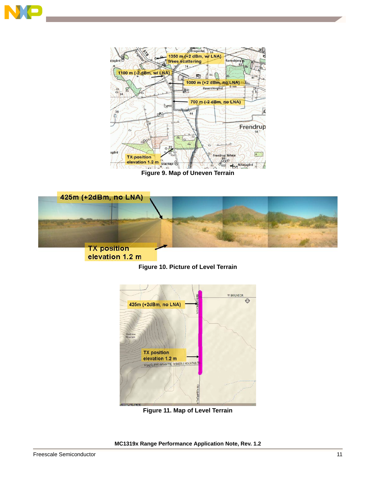



**Figure 9. Map of Uneven Terrain**

<span id="page-10-1"></span><span id="page-10-0"></span>



<span id="page-10-2"></span>

**Figure 11. Map of Level Terrain**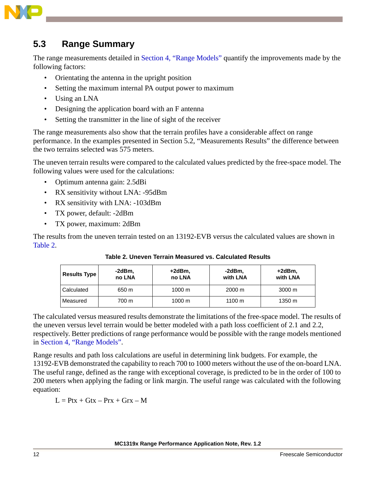

### <span id="page-11-0"></span>**5.3 Range Summary**

The range measurements detailed in [Section 4, "Range Models"](#page-7-0) quantify the improvements made by the following factors:

- Orientating the antenna in the upright position
- Setting the maximum internal PA output power to maximum
- Using an LNA
- Designing the application board with an F antenna
- Setting the transmitter in the line of sight of the receiver

The range measurements also show that the terrain profiles have a considerable affect on range performance. In the examples presented in Section 5.2, "Measurements Results" the difference between the two terrains selected was 575 meters.

The uneven terrain results were compared to the calculated values predicted by the free-space model. The following values were used for the calculations:

- Optimum antenna gain: 2.5dBi
- RX sensitivity without LNA: -95dBm
- RX sensitivity with LNA: -103dBm
- TX power, default: -2dBm
- TX power, maximum: 2dBm

<span id="page-11-1"></span>The results from the uneven terrain tested on an 13192-EVB versus the calculated values are shown in [Table 2](#page-11-1).

| <b>Results Type</b> | -2dBm.<br>no LNA | +2dBm,<br>no LNA | -2dBm.<br>with LNA | +2dBm.<br>with LNA |
|---------------------|------------------|------------------|--------------------|--------------------|
| Calculated          | 650 m            | $1000 \text{ m}$ | 2000 m             | $3000 \text{ m}$   |
| Measured            | 700 m            | $1000 \text{ m}$ | 1100 $m$           | 1350 m             |

**Table 2. Uneven Terrain Measured vs. Calculated Results**

The calculated versus measured results demonstrate the limitations of the free-space model. The results of the uneven versus level terrain would be better modeled with a path loss coefficient of 2.1 and 2.2, respectively. Better predictions of range performance would be possible with the range models mentioned in [Section 4, "Range Models".](#page-7-0)

Range results and path loss calculations are useful in determining link budgets. For example, the 13192-EVB demonstrated the capability to reach 700 to 1000 meters without the use of the on-board LNA. The useful range, defined as the range with exceptional coverage, is predicted to be in the order of 100 to 200 meters when applying the fading or link margin. The useful range was calculated with the following equation:

 $L = Ptx + Gtx - Prx + Grx - M$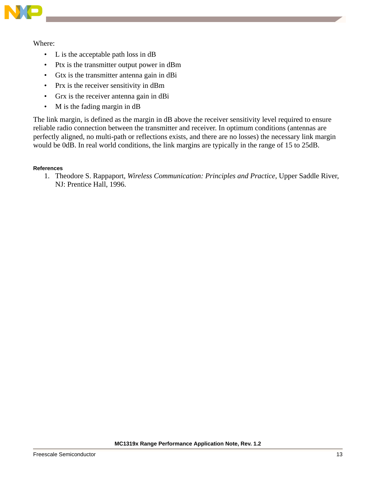

Where:

- L is the acceptable path loss in dB
- Ptx is the transmitter output power in dBm
- Gtx is the transmitter antenna gain in dBi
- Prx is the receiver sensitivity in dBm
- Grx is the receiver antenna gain in dBi
- M is the fading margin in dB

The link margin, is defined as the margin in dB above the receiver sensitivity level required to ensure reliable radio connection between the transmitter and receiver. In optimum conditions (antennas are perfectly aligned, no multi-path or reflections exists, and there are no losses) the necessary link margin would be 0dB. In real world conditions, the link margins are typically in the range of 15 to 25dB.

#### <span id="page-12-0"></span>**References**

1. Theodore S. Rappaport, *Wireless Communication: Principles and Practice*, Upper Saddle River, NJ: Prentice Hall, 1996.